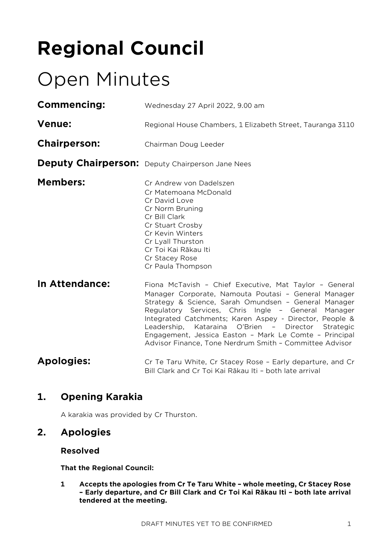# **Regional Council**

## Open Minutes

| <b>Commencing:</b>  | Wednesday 27 April 2022, 9.00 am                                                                                                                                                                                                                                                                                                                                                                                                                                   |  |  |
|---------------------|--------------------------------------------------------------------------------------------------------------------------------------------------------------------------------------------------------------------------------------------------------------------------------------------------------------------------------------------------------------------------------------------------------------------------------------------------------------------|--|--|
| <b>Venue:</b>       | Regional House Chambers, 1 Elizabeth Street, Tauranga 3110                                                                                                                                                                                                                                                                                                                                                                                                         |  |  |
| <b>Chairperson:</b> | Chairman Doug Leeder                                                                                                                                                                                                                                                                                                                                                                                                                                               |  |  |
|                     | <b>Deputy Chairperson:</b> Deputy Chairperson Jane Nees                                                                                                                                                                                                                                                                                                                                                                                                            |  |  |
| <b>Members:</b>     | Cr Andrew von Dadelszen<br>Cr Matemoana McDonald<br>Cr David Love<br>Cr Norm Bruning<br>Cr Bill Clark<br>Cr Stuart Crosby<br>Cr Kevin Winters<br>Cr Lyall Thurston<br>Cr Toi Kai Rākau Iti<br>Cr Stacey Rose<br>Cr Paula Thompson                                                                                                                                                                                                                                  |  |  |
| In Attendance:      | Fiona McTavish - Chief Executive, Mat Taylor - General<br>Manager Corporate, Namouta Poutasi - General Manager<br>Strategy & Science, Sarah Omundsen - General Manager<br>Regulatory Services, Chris Ingle - General Manager<br>Integrated Catchments; Karen Aspey - Director, People &<br>Leadership, Kataraina O'Brien - Director Strategic<br>Engagement, Jessica Easton - Mark Le Comte - Principal<br>Advisor Finance, Tone Nerdrum Smith - Committee Advisor |  |  |
| <b>Apologies:</b>   | Cr Te Taru White, Cr Stacey Rose - Early departure, and Cr<br>Bill Clark and Cr Toi Kai Rākau Iti - both late arrival                                                                                                                                                                                                                                                                                                                                              |  |  |

## **1. Opening Karakia**

A karakia was provided by Cr Thurston.

### **2. Apologies**

#### **Resolved**

**That the Regional Council:**

**1 Accepts the apologies from Cr Te Taru White – whole meeting, Cr Stacey Rose – Early departure, and Cr Bill Clark and Cr Toi Kai Rākau Iti – both late arrival tendered at the meeting.**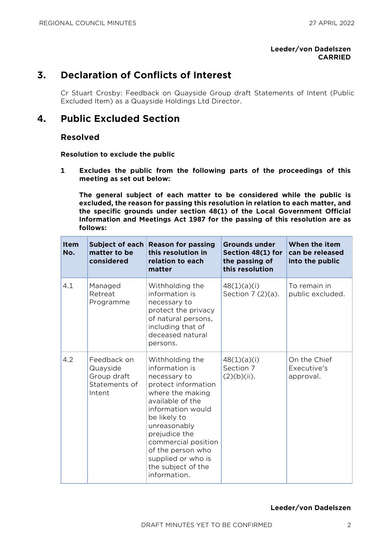#### **Leeder/von Dadelszen CARRIED**

## **3. Declaration of Conflicts of Interest**

Cr Stuart Crosby: Feedback on Quayside Group draft Statements of Intent (Public Excluded Item) as a Quayside Holdings Ltd Director.

#### **4. Public Excluded Section**

#### **Resolved**

**Resolution to exclude the public**

**1 Excludes the public from the following parts of the proceedings of this meeting as set out below:**

**The general subject of each matter to be considered while the public is excluded, the reason for passing this resolution in relation to each matter, and the specific grounds under section 48(1) of the Local Government Official Information and Meetings Act 1987 for the passing of this resolution are as follows:**

| <b>Item</b><br>No. | Subject of each<br>matter to be<br>considered                     | <b>Reason for passing</b><br>this resolution in<br>relation to each<br>matter                                                                                                                                                                                                                  | Grounds under<br>Section 48(1) for<br>the passing of<br>this resolution | When the item<br>can be released<br>into the public |
|--------------------|-------------------------------------------------------------------|------------------------------------------------------------------------------------------------------------------------------------------------------------------------------------------------------------------------------------------------------------------------------------------------|-------------------------------------------------------------------------|-----------------------------------------------------|
| 4.1                | Managed<br>Retreat<br>Programme                                   | Withholding the<br>information is<br>necessary to<br>protect the privacy<br>of natural persons,<br>including that of<br>deceased natural<br>persons.                                                                                                                                           | 48(1)(a)(i)<br>Section $7(2)(a)$ .                                      | To remain in<br>public excluded.                    |
| 4.2                | Feedback on<br>Quayside<br>Group draft<br>Statements of<br>Intent | Withholding the<br>information is<br>necessary to<br>protect information<br>where the making<br>available of the<br>information would<br>be likely to<br>unreasonably<br>prejudice the<br>commercial position<br>of the person who<br>supplied or who is<br>the subject of the<br>information. | 48(1)(a)(i)<br>Section 7<br>$(2)(b)(ii)$ .                              | On the Chief<br>Executive's<br>approval.            |

#### **Leeder/von Dadelszen**